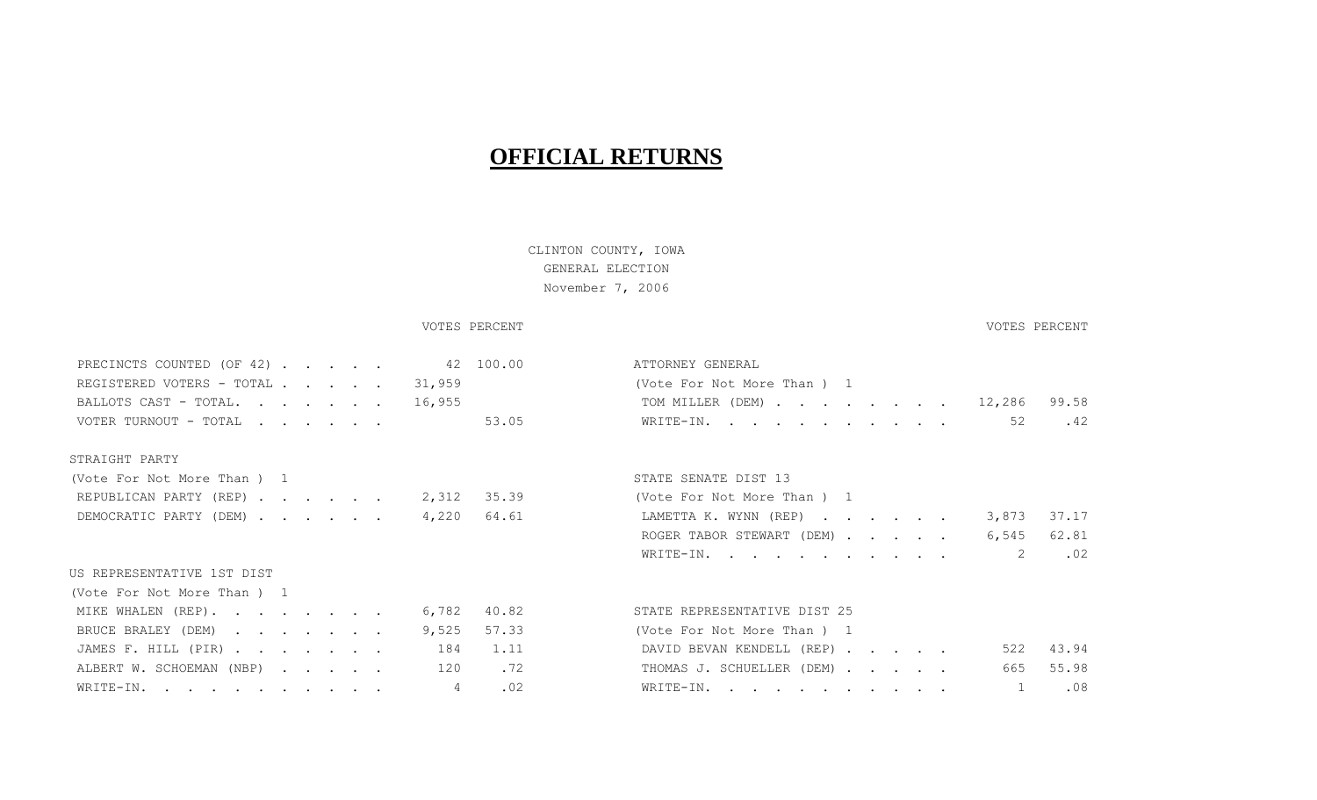# **OFFICIAL RETURNS**

# CLINTON COUNTY, IOWA GENERAL ELECTION November 7, 2006

### VOTES PERCENT VOTES PERCENT

| INDOINCID COUNTID (OI 747 • • • • •      | 111 I OINNU I - OUNUIVIU                    |
|------------------------------------------|---------------------------------------------|
| REGISTERED VOTERS - TOTAL<br>31,959      | (Vote For Not More Than) 1                  |
| BALLOTS CAST - TOTAL.<br>16,955          | 99.58<br>TOM MILLER (DEM) 12,286            |
| VOTER TURNOUT - TOTAL<br>53.05           | 52<br>.42<br>WRITE-IN.                      |
| STRAIGHT PARTY                           |                                             |
| (Vote For Not More Than) 1               | STATE SENATE DIST 13                        |
| REPUBLICAN PARTY (REP) 2,312 35.39       | (Vote For Not More Than) 1                  |
| 64.61<br>DEMOCRATIC PARTY (DEM)<br>4,220 | 37.17<br>LAMETTA K. WYNN (REP)<br>3,873     |
|                                          | 62.81<br>ROGER TABOR STEWART (DEM)<br>6,545 |
|                                          | 2<br>.02<br>WRITE-IN.                       |
| US REPRESENTATIVE 1ST DIST               |                                             |
| (Vote For Not More Than) 1               |                                             |
| MIKE WHALEN (REP).<br>40.82<br>6,782     | STATE REPRESENTATIVE DIST 25                |
| 57.33<br>BRUCE BRALEY (DEM)<br>9,525     | (Vote For Not More Than) 1                  |
| 1.11<br>JAMES F. HILL (PIR)<br>184       | DAVID BEVAN KENDELL (REP)<br>43.94<br>522   |
| ALBERT W. SCHOEMAN (NBP)<br>.72<br>120   | 55.98<br>THOMAS J. SCHUELLER (DEM)<br>665   |
| .02<br>4<br>WRITE-IN.                    | .08<br>WRITE-IN.                            |
|                                          |                                             |

# PRECINCTS COUNTED (OF 42) . . . . . 42 100.00 ATTORNEY GENERAL  $\cdot$  . . 12,286 99.58 VOTER TURNOUT - TOTAL . . . . . . 53.05 WRITE-IN. . . . . . . . . . . 52 .42

| (Vote For Not More Than) 1            |  |  |  |  |
|---------------------------------------|--|--|--|--|
| LAMETTA K. WYNN (REP) 3,873 37.17     |  |  |  |  |
| ROGER TABOR STEWART (DEM) 6,545 62.81 |  |  |  |  |
| WRITE-IN. 2 $.02$                     |  |  |  |  |

| (Vote For Not More Than ) 1         |  |  |  |  |
|-------------------------------------|--|--|--|--|
| DAVID BEVAN KENDELL (REP) 522 43.94 |  |  |  |  |
| THOMAS J. SCHUELLER (DEM) 665 55.98 |  |  |  |  |
| WRITE-IN. 1 $.08$                   |  |  |  |  |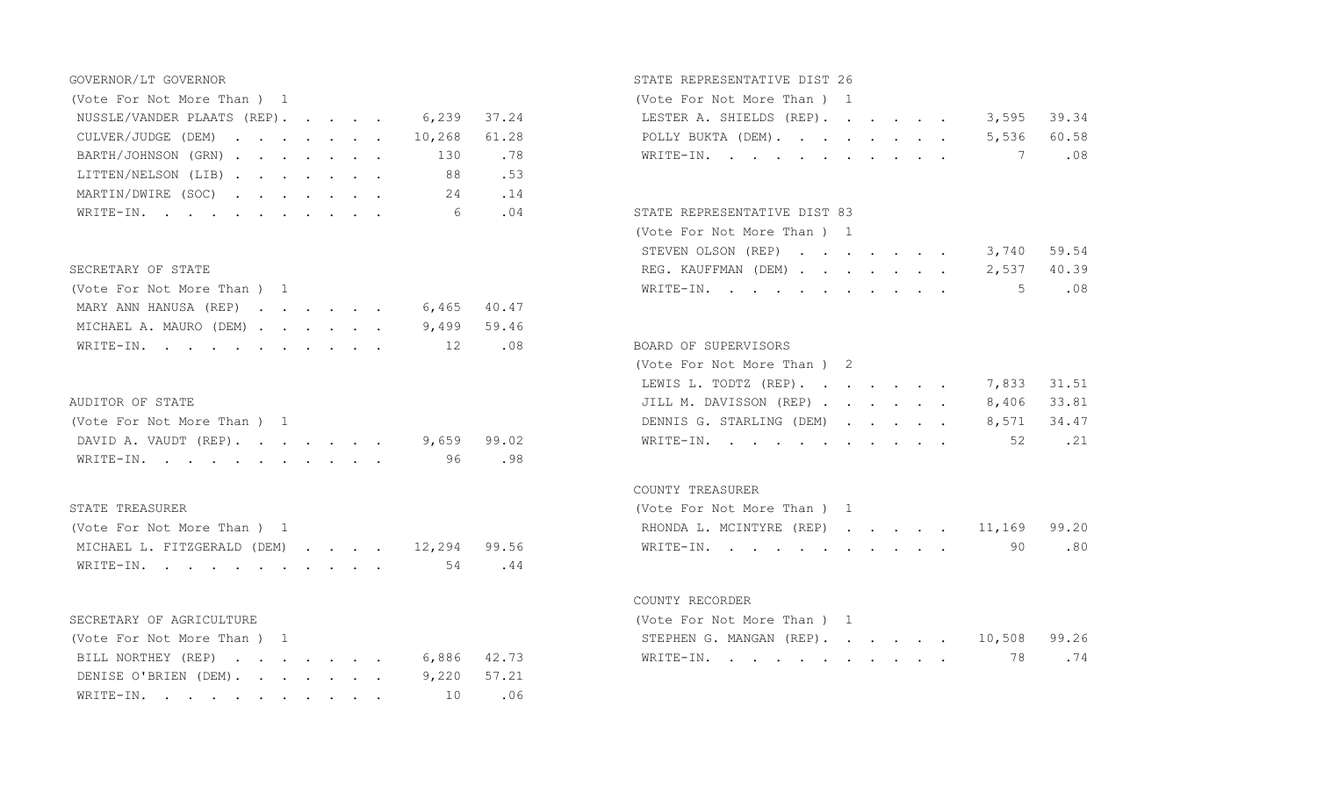| (Vote For Not More Than ) 1             |  |  |  |    |       | (Vote For Not More Than) 1              |       |
|-----------------------------------------|--|--|--|----|-------|-----------------------------------------|-------|
| NUSSLE/VANDER PLAATS (REP). 6,239 37.24 |  |  |  |    |       | 3,595 39.34<br>LESTER A. SHIELDS (REP). |       |
| CULVER/JUDGE (DEM) 10,268 61.28         |  |  |  |    |       | 5,536<br>POLLY BUKTA (DEM).             | 60.58 |
| BARTH/JOHNSON (GRN) 130 .78             |  |  |  |    |       | WRITE-IN. 7                             | .08   |
| LITTEN/NELSON (LIB)                     |  |  |  | 88 | .53   |                                         |       |
| MARTIN/DWIRE (SOC)                      |  |  |  |    | 24.14 |                                         |       |
| WRITE-IN.                               |  |  |  |    | 6.04  | STATE REPRESENTATIVE DIST 83            |       |

### SECRETARY OF STATE

| (Vote For Not More Than ) 1        |  |  |  |  |
|------------------------------------|--|--|--|--|
| MARY ANN HANUSA (REP) 6,465 40.47  |  |  |  |  |
| MICHAEL A. MAURO (DEM) 9,499 59.46 |  |  |  |  |
| WRITE-IN. 12 .08                   |  |  |  |  |

## AUDITOR OF STATE

| (Vote For Not More Than) 1        |  |  |  |  |
|-----------------------------------|--|--|--|--|
| DAVID A. VAUDT (REP). 9,659 99.02 |  |  |  |  |
| WRITE-IN. 96 .98                  |  |  |  |  |

### STATE TREASURER

| (Vote For Not More Than) 1               | RHONDA L. MCINTYRE (REP) 11,169 99.20 |  |
|------------------------------------------|---------------------------------------|--|
| MICHAEL L. FITZGERALD (DEM) 12,294 99.56 | WRITE-IN. 90 .80                      |  |
| WRITE-IN. 54 . 44                        |                                       |  |

### SECRETARY OF AGRICULTURE

| (Vote For Not More Than ) 1       | STEPHEN G. MANGAN (REP). 10,508 99.26 |  |  |  |  |
|-----------------------------------|---------------------------------------|--|--|--|--|
| BILL NORTHEY (REP) 6,886 42.73    | WRITE-IN. 78 .74                      |  |  |  |  |
| DENISE O'BRIEN (DEM). 9,220 57.21 |                                       |  |  |  |  |
| WRITE-IN. 10 .06                  |                                       |  |  |  |  |

## GOVERNOR/LT GOVERNOR STATE REPRESENTATIVE DIST 26

| (Vote For Not More Than) 1           |  |  |  |  |
|--------------------------------------|--|--|--|--|
| LESTER A. SHIELDS (REP). 3,595 39.34 |  |  |  |  |
| POLLY BUKTA (DEM). 5,536 60.58       |  |  |  |  |
| WRITE-IN. 7 $.08$                    |  |  |  |  |

### STATE REPRESENTATIVE DIST 83

|                            | (Vote For Not More Than ) 1     |  |  |  |  |  |  |  |  |  |
|----------------------------|---------------------------------|--|--|--|--|--|--|--|--|--|
|                            | STEVEN OLSON (REP) 3,740 59.54  |  |  |  |  |  |  |  |  |  |
| SECRETARY OF STATE         | REG. KAUFFMAN (DEM) 2,537 40.39 |  |  |  |  |  |  |  |  |  |
| (Vote For Not More Than) 1 | WRITE-IN. 5 $.08$               |  |  |  |  |  |  |  |  |  |

### 08 BOARD OF SUPERVISORS

|                                   | (Vote For Not More Than ) 2          |     |
|-----------------------------------|--------------------------------------|-----|
|                                   | LEWIS L. TODTZ (REP). 7,833 31.51    |     |
| AUDITOR OF STATE                  | JILL M. DAVISSON (REP) 8,406 33.81   |     |
| (Vote For Not More Than) 1        | DENNIS G. STARLING (DEM) 8,571 34.47 |     |
| DAVID A. VAUDT (REP). 9,659 99.02 | WRITE-IN. 52                         | .21 |

### COUNTY TREASURER

| (Vote For Not More Than) 1            |  |  |  |  |
|---------------------------------------|--|--|--|--|
| RHONDA L. MCINTYRE (REP) 11,169 99.20 |  |  |  |  |
| WRITE-IN. 90 .80                      |  |  |  |  |

### COUNTY RECORDER

| (Vote For Not More Than) 1 |  |  |  |  |  |                                       |  |
|----------------------------|--|--|--|--|--|---------------------------------------|--|
|                            |  |  |  |  |  | STEPHEN G. MANGAN (REP). 10,508 99.26 |  |
|                            |  |  |  |  |  | WRITE-IN. 78 .74                      |  |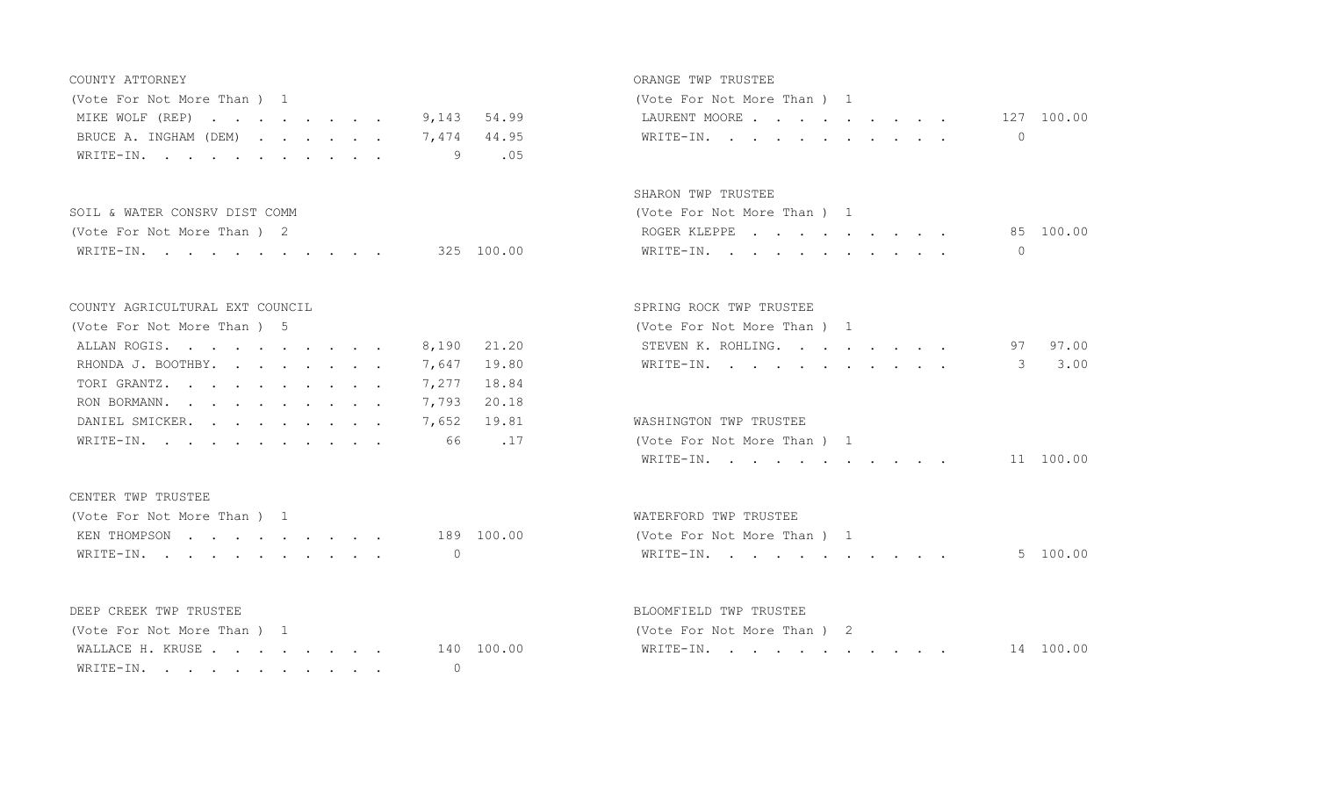| (Vote For Not More Than) 1        | (Vote For Not More Than ) 1 |            |
|-----------------------------------|-----------------------------|------------|
| MIKE WOLF (REP) 9,143 54.99       | LAURENT MOORE               | 127 100.00 |
| BRUCE A. INGHAM (DEM) 7,474 44.95 | WRITE-IN. 0                 |            |
| WRITE-IN. 9 .05                   |                             |            |

| SOIL & WATER CONSRV DIST COMM |            | (Vote For Not More Than ) 1 |           |  |  |  |  |  |  |  |
|-------------------------------|------------|-----------------------------|-----------|--|--|--|--|--|--|--|
| (Vote For Not More Than ) 2   |            | ROGER KLEPPE                | 85 100.00 |  |  |  |  |  |  |  |
| WRITE-IN.                     | 325 100.00 | WRITE-IN.                   |           |  |  |  |  |  |  |  |

### COUNTY AGRICULTURAL EXT COUNCIL SPRING ROCK TWP TRUSTEE

| (Vote For Not More Than) 5 |             | (Vote For Not More Than) 1 |
|----------------------------|-------------|----------------------------|
| ALLAN ROGIS.               | 8,190 21.20 | STEVEN K. ROHLING.         |
| RHONDA J. BOOTHBY.         | 7,647 19.80 | WRITE-IN.                  |
| TORIGRANTZ.                | 7,277 18.84 |                            |
| RON BORMANN.               | 7,793 20.18 |                            |
| DANIEL SMICKER.            | 7,652 19.81 | WASHINGTON TWP TRUSTEE     |
| WRITE-IN.                  | 66.17       | (Vote For Not More Than) 1 |
|                            |             |                            |

### CENTER TWP TRUSTEE

| (Vote For Not More Than) 1 |  |  |  |  |            |
|----------------------------|--|--|--|--|------------|
| KEN THOMPSON               |  |  |  |  | 189 100.00 |
| WRITE-IN.                  |  |  |  |  |            |

| (Vote For Not More Than) 1  |  |  |  | (Vote For Not More Than) 2 |  |
|-----------------------------|--|--|--|----------------------------|--|
| WALLACE H. KRUSE 140 100.00 |  |  |  | WRITE-IN.                  |  |
| WRITE-IN. 0                 |  |  |  |                            |  |

### COUNTY ATTORNEY ORANGE TWP TRUSTEE

| Vote For Not More Than ) 1 |  |  |  |  |                          |  |
|----------------------------|--|--|--|--|--------------------------|--|
|                            |  |  |  |  | LAURENT MOORE 127 100.00 |  |
| WRITE-IN.                  |  |  |  |  |                          |  |

### SHARON TWP TRUSTEE

| (Vote For Not More Than ) 1 |  |  |  |  |  |  |           |
|-----------------------------|--|--|--|--|--|--|-----------|
| ROGER KLEPPE                |  |  |  |  |  |  | 85 100.00 |
| WRITE-IN.                   |  |  |  |  |  |  |           |

| (Vote For Not More Than) 5     |  | (Vote For Not More Than ) 1 |  |
|--------------------------------|--|-----------------------------|--|
| ALLAN ROGIS. 8,190 21.20       |  | STEVEN K. ROHLING. 97 97.00 |  |
| RHONDA J. BOOTHBY. 7,647 19.80 |  | WRITE-IN. 3 3.00            |  |

| DANIEL SMICKER. 7,652 19.81 |  |  |  |  |  | WASHINGTON TWP TRUSTEE      |           |
|-----------------------------|--|--|--|--|--|-----------------------------|-----------|
| WRITE-IN. 66 .17            |  |  |  |  |  | (Vote For Not More Than ) 1 |           |
|                             |  |  |  |  |  | WRITE-IN.                   | 11 100.00 |

# WATERFORD TWP TRUSTEE (Vote For Not More Than ) 1 WRITE-IN. . . . . . . . . . . . 5 100.00

### DEEP CREEK TWP TRUSTEE **BLOOMFIELD TWP TRUSTEE**

| (Vote For Not More Than |               | (Vote For Not More Than ) |                      |
|-------------------------|---------------|---------------------------|----------------------|
| WALLACE H KRUSE         | 100.00<br>140 | WRITE-I                   | 100.00<br>$\sqrt{2}$ |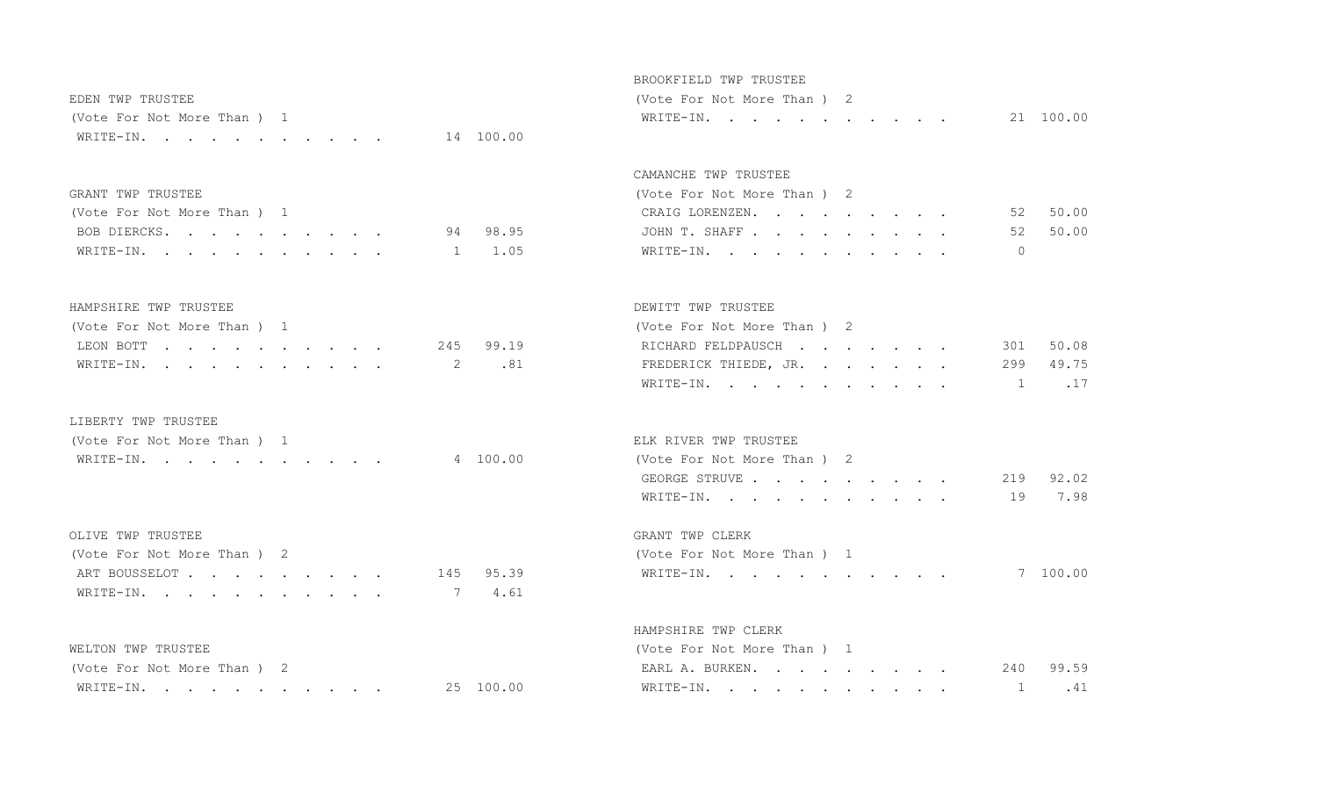| EDEN TWP TRUSTEE            | (Vote For Not More Than ) 2 |  |
|-----------------------------|-----------------------------|--|
| (Vote For Not More Than ) 1 | WRITE-IN. 21 100.00         |  |
| WRITE-IN. 14 100.00         |                             |  |

### BROOKFIELD TWP TRUSTEE

|  |  | Vote For Not More Than ) 2 |  |  |  |  |           |
|--|--|----------------------------|--|--|--|--|-----------|
|  |  | WRITE-IN.                  |  |  |  |  | 21 100.00 |

### CAMANCHE TWP TRUSTEE

| (Vote For Not More Than) 2 |          |
|----------------------------|----------|
| CRAIG LORENZEN.            | 52 50.00 |
| JOHN T. SHAFF              | 52 50.00 |
| WRITE-IN.                  |          |

### HAMPSHIRE TWP TRUSTEE DEWITT TWP TRUSTEE

GRANT TWP TRUSTEE

(Vote For Not More Than ) 1

| (Vote For Not More Than ) 1 |  |  |  |  |  | (Vote For Not More Than ) 2     |  |
|-----------------------------|--|--|--|--|--|---------------------------------|--|
| LEON BOTT 245 99.19         |  |  |  |  |  | RICHARD FELDPAUSCH 301 50.08    |  |
| WRITE-IN. 2 .81             |  |  |  |  |  | FREDERICK THIEDE, JR. 299 49.75 |  |

BOB DIERCKS. . . . . . . . . . . 94 98.95 WRITE-IN. . . . . . . . . . . . 1 1.05

### LIBERTY TWP TRUSTEE

| (Vote For Not More Than |        | ELK RIVER TWP TRUSTEE    |
|-------------------------|--------|--------------------------|
| ו – איחד או א<br>.      | 100 00 | (Vote For Not More Than) |

### OLIVE TWP TRUSTEE GRANT TWP CLERK

| (Vote For Not More Than ) 2 | (Vote For Not More Than) 1 |
|-----------------------------|----------------------------|
| ART BOUSSELOT 145 95.39     | WRITE-IN.                  |
| WRITE-IN. 7 4.61            |                            |

| (Vote For Not More Than ) 2 |        | EARL A. BURKEN.<br>240<br>$\sim$ $\sim$ $\sim$ $\sim$ $\sim$ $\sim$ $\sim$ $\sim$                                           | 99.59 |
|-----------------------------|--------|-----------------------------------------------------------------------------------------------------------------------------|-------|
| WRITE-IN                    | 100.00 | WRITE-IN<br>the contract of the contract of the contract of the contract of the contract of the contract of the contract of |       |

# (Vote For Not More Than ) 2 RICHARD FELDPAUSCH . . . . . . . 301 50.08

| WRITE-IN.<br>. 2 .81 |  | FREDERICK THIEDE, JR. 299 49.75 |  |
|----------------------|--|---------------------------------|--|
|                      |  | $\sim$ 1 . 1                    |  |

### ELK RIVER TWP TRUSTEE

| WRITE-IN. |  |  |  |  |  |  | 4 100.00 | (Vote For Not More Than ) 2 |       |
|-----------|--|--|--|--|--|--|----------|-----------------------------|-------|
|           |  |  |  |  |  |  |          | GEORGE STRUVE               | 92 02 |
|           |  |  |  |  |  |  |          | WRITE-IN. 19                | 7.98  |

| (Vote For Not More Than) 2 |           | (Vote For Not More Than ) 1 |          |
|----------------------------|-----------|-----------------------------|----------|
| ART BOUSSELOT              | 145 95.39 | WRITE-IN.                   | 7 100.00 |

# HAMPSHIRE TWP CLERK WELTON TWP TRUSTEE (Vote For Not More Than ) 1

| EARL A. BURKEN. |  |  |  |  |  | 240 99.59 |
|-----------------|--|--|--|--|--|-----------|
| WRITE-IN.       |  |  |  |  |  | 1.41      |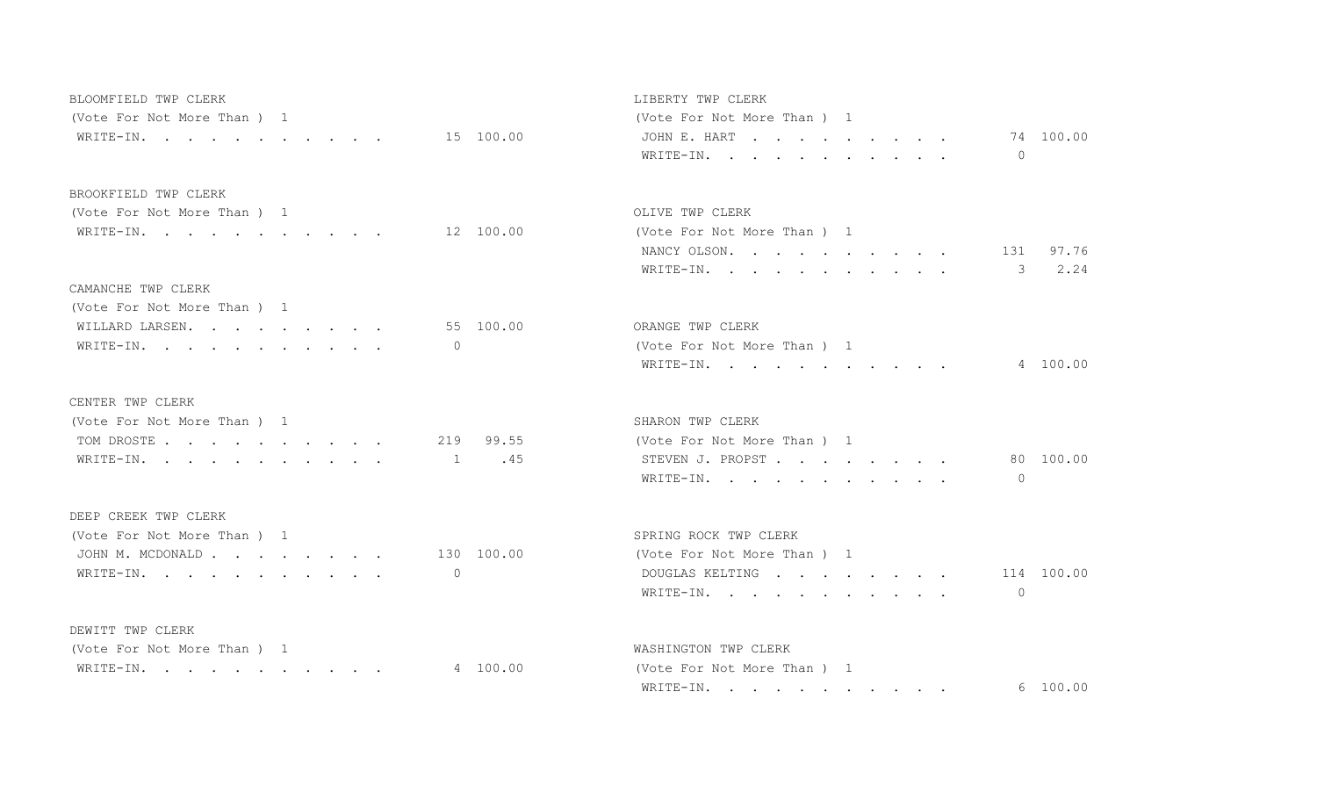| BLOOMFIELD TWP CLERK        |                 | LIBERTY TWP CLERK             |
|-----------------------------|-----------------|-------------------------------|
| (Vote For Not More Than) 1  |                 | (Vote For Not More Than) 1    |
| WRITE-IN.                   | 15 100.00       | JOHN E. HART 74 100.00        |
|                             |                 | WRITE-IN.<br>$\Omega$         |
| BROOKFIELD TWP CLERK        |                 |                               |
| (Vote For Not More Than) 1  |                 | OLIVE TWP CLERK               |
| WRITE-IN. 12 100.00         |                 | (Vote For Not More Than) 1    |
|                             |                 | 131 97.76<br>NANCY OLSON.     |
|                             |                 | 2.24<br>WRITE-IN.<br>3        |
| CAMANCHE TWP CLERK          |                 |                               |
| (Vote For Not More Than ) 1 |                 |                               |
| WILLARD LARSEN.             | 55 100.00       | ORANGE TWP CLERK              |
| WRITE-IN.                   | $\Omega$        | (Vote For Not More Than) 1    |
|                             |                 | 4 100.00<br>WRITE-IN.         |
| CENTER TWP CLERK            |                 |                               |
| (Vote For Not More Than) 1  |                 | SHARON TWP CLERK              |
| TOM DROSTE                  | 219 99.55       | (Vote For Not More Than) 1    |
| WRITE-IN.                   | .45<br>$\sim$ 1 | 80 100.00<br>STEVEN J. PROPST |
|                             |                 | WRITE-IN.<br>$\Omega$         |
| DEEP CREEK TWP CLERK        |                 |                               |
| (Vote For Not More Than) 1  |                 | SPRING ROCK TWP CLERK         |
| JOHN M. MCDONALD 130 100.00 |                 | (Vote For Not More Than) 1    |
| WRITE-IN.                   | $\circ$         | 114 100.00<br>DOUGLAS KELTING |
|                             |                 | $\Omega$<br>WRITE-IN.         |
| DEWITT TWP CLERK            |                 |                               |
| (Vote For Not More Than) 1  |                 | WASHINGTON TWP CLERK          |
| WRITE-IN.                   | 4 100.00        | (Vote For Not More Than) 1    |

| LIBERTY TWP CLERK           |           |
|-----------------------------|-----------|
| (Vote For Not More Than ) 1 |           |
| JOHNE.HART                  | 74 100.00 |
| WRITE-IN.                   |           |

### OLIVE TWP CLERK

|  |  | Vote For Not More Than ) 1 |  |  |  |                  |           |
|--|--|----------------------------|--|--|--|------------------|-----------|
|  |  | NANCY OLSON.               |  |  |  |                  | 131 97.76 |
|  |  |                            |  |  |  | WRITE-IN. 3 2.24 |           |

| )RANGE TWP CLERK            |          |
|-----------------------------|----------|
| (Vote For Not More Than ) 1 |          |
| WRITE-IN.                   | 4 100.00 |

| SHARON TWP CLERK           |  |  |  |  |  |  |           |
|----------------------------|--|--|--|--|--|--|-----------|
| (Vote For Not More Than) 1 |  |  |  |  |  |  |           |
| STEVEN J. PROPST           |  |  |  |  |  |  | 80 100.00 |
| WRITE-IN.                  |  |  |  |  |  |  |           |

| SPRING ROCK TWP CLERK       |  |  |  |  |
|-----------------------------|--|--|--|--|
| (Vote For Not More Than ) 1 |  |  |  |  |
| DOUGLAS KELTING 114 100.00  |  |  |  |  |
| WRITE-IN.                   |  |  |  |  |

| (Vote For Not More Than ) 1 | WASHINGTON TWP CLERK        |          |
|-----------------------------|-----------------------------|----------|
| WRITE-IN. 4 100.00          | (Vote For Not More Than ) 1 |          |
|                             | WRITE-IN.                   | 6 100.00 |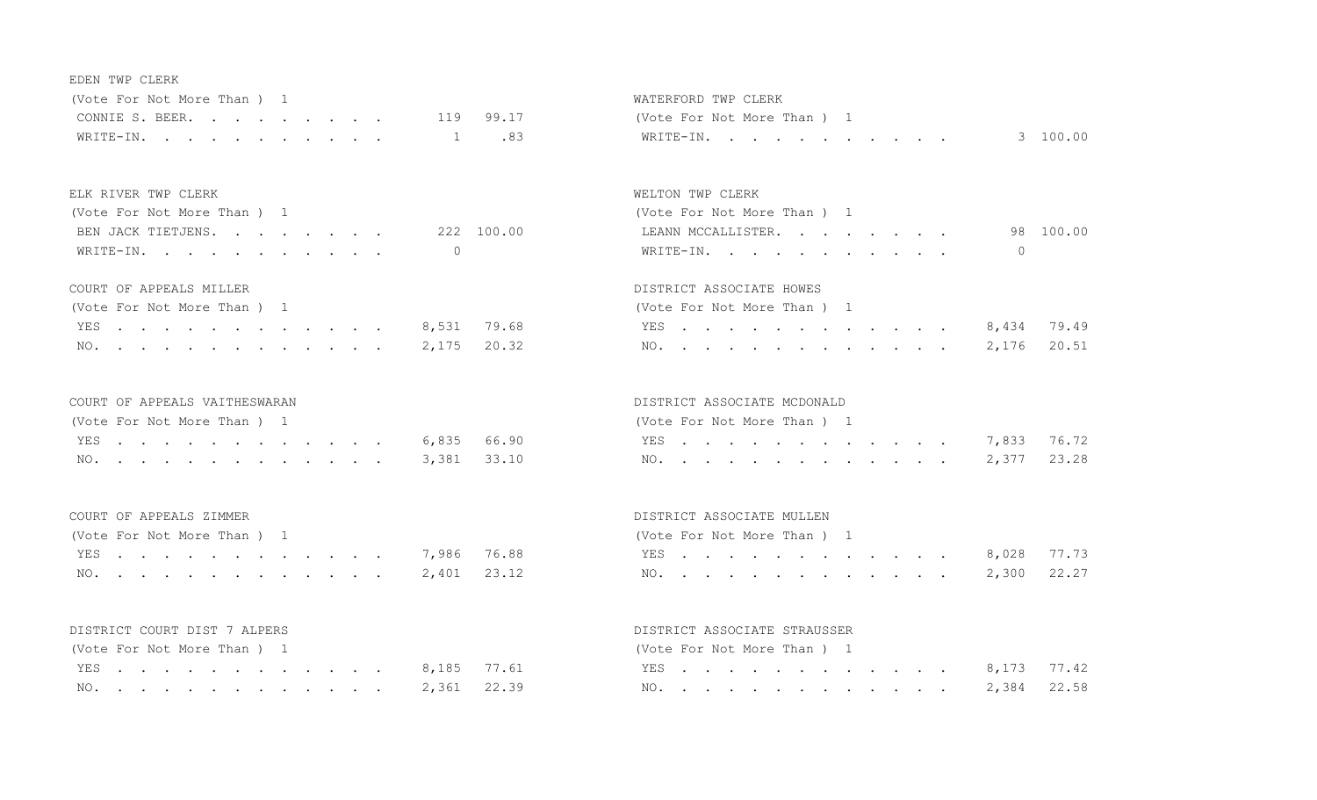| E DE N | TWP | CLERK |
|--------|-----|-------|

| (Vote For Not More Than) 1 |  |  |  |  |  |                           |  |
|----------------------------|--|--|--|--|--|---------------------------|--|
|                            |  |  |  |  |  | CONNIE S. BEER. 119 99.17 |  |
|                            |  |  |  |  |  | WRITE-IN. 1 .83           |  |

### ELK RIVER TWP CLERK WELTON TWP CLERK

| (Vote For Not More Than) 1 |            | (Vote For Not More Than) 1 |           |  |  |  |  |  |  |  |  |
|----------------------------|------------|----------------------------|-----------|--|--|--|--|--|--|--|--|
| BEN JACK TIETJENS.         | 222 100.00 | LEANN MCCALLISTER.         | 98 100.00 |  |  |  |  |  |  |  |  |
| WRITE-IN.                  |            | WRITE-IN.                  |           |  |  |  |  |  |  |  |  |

| (Vote For Not More Than ) 1 | (Vote For Not More Than ) 1         |
|-----------------------------|-------------------------------------|
|                             | YES 8,434 79.49 8,434 79.49         |
|                             | NO. 2,175 20.32     NO. 2,176 20.51 |

### COURT OF APPEALS VAITHESWARAN DISTRICT ASSOCIATE MCDONALD

| (Vote For Not More Than ) 1 |  |  |  |  |  |  |                 |                                                                                                           | (Vote For Not More Than) 1 |  |  |  |  |
|-----------------------------|--|--|--|--|--|--|-----------------|-----------------------------------------------------------------------------------------------------------|----------------------------|--|--|--|--|
|                             |  |  |  |  |  |  | YES 6,835 66.90 | <b>EXECTED AT A RESOUR A RESOURCE A RESOURCE A RESOURCE A RESOURCE A RESOURCE A RESOURCE A RESOURCE A</b> |                            |  |  |  |  |
|                             |  |  |  |  |  |  | NO. 3,381 33.10 |                                                                                                           |                            |  |  |  |  |

| (Vote For Not More Than ) 1 |  |  |  |  |  |  |                 |                 | (Vote For Not More Than ) 1 |  |  |  |  |  |  |  |
|-----------------------------|--|--|--|--|--|--|-----------------|-----------------|-----------------------------|--|--|--|--|--|--|--|
|                             |  |  |  |  |  |  | YES 7,986 76.88 | . 8,028 77.73   |                             |  |  |  |  |  |  |  |
|                             |  |  |  |  |  |  |                 | NO. 2,300 22.27 |                             |  |  |  |  |  |  |  |

| (Vote For Not More Than) 1 |  |  |  |  |  |  |                 |  | (Vote For Not More Than) 1 |  |  |  |  |
|----------------------------|--|--|--|--|--|--|-----------------|--|----------------------------|--|--|--|--|
|                            |  |  |  |  |  |  | YES 8,185 77.61 |  | YES.                       |  |  |  |  |
|                            |  |  |  |  |  |  | NO. 2,361 22.39 |  | NO.                        |  |  |  |  |

## WATERFORD TWP CLERK (Vote For Not More Than ) 1 WRITE-IN. . . . . . . . . . . . 3 100.00

| (Vote For Not More Than) 1 |           |
|----------------------------|-----------|
| LEANN MCCALLISTER.         | 98 100.00 |
| WRITE-IN.                  |           |

### COURT OF APPEALS MILLER **Example 20 and 20 and 20 and 20 and 20 and 20 and 20 and 20 and 20 and 20 and 20 and 20 and 20 and 20 and 20 and 20 and 20 and 20 and 20 and 20 and 20 and 20 and 20 and 20 and 20 and 20 and 20 and**

| (Vote For Not More Than) 1 |  |  |  |  |  |                 |  |
|----------------------------|--|--|--|--|--|-----------------|--|
|                            |  |  |  |  |  | YES 8,434 79.49 |  |
|                            |  |  |  |  |  | NO. 2,176 20.51 |  |

| (Vote For Not More Than ) 1 |  |  |  |  |  |  |                                     | (Vote For Not More Than ) 1 |  |  |  |  |  |  |  |  |
|-----------------------------|--|--|--|--|--|--|-------------------------------------|-----------------------------|--|--|--|--|--|--|--|--|
|                             |  |  |  |  |  |  | YES 7,833 76.72<br>YES 6,835 66.90  |                             |  |  |  |  |  |  |  |  |
|                             |  |  |  |  |  |  | NO. 3,381 33.10     NO. 2,377 23.28 |                             |  |  |  |  |  |  |  |  |

### COURT OF APPEALS ZIMMER DISTRICT ASSOCIATE MULLEN

| (Vote For Not More Than ) 1 |  |  |  |  |  |                 |  |
|-----------------------------|--|--|--|--|--|-----------------|--|
|                             |  |  |  |  |  | YES 8,028 77.73 |  |
|                             |  |  |  |  |  | NO. 2,300 22.27 |  |

### DISTRICT COURT DIST 7 ALPERS DISTRICT ASSOCIATE STRAUSSER

| (Vote For Not More Than ) 1 |  |  |  |  |                 |                 |                 | (Vote For Not More Than ) 1 |  |  |  |  |  |  |  |
|-----------------------------|--|--|--|--|-----------------|-----------------|-----------------|-----------------------------|--|--|--|--|--|--|--|
|                             |  |  |  |  | YES 8,185 77.61 |                 | YES 8,173 77.42 |                             |  |  |  |  |  |  |  |
|                             |  |  |  |  |                 | NO. 2,361 22.39 | NO. 2,384 22.58 |                             |  |  |  |  |  |  |  |